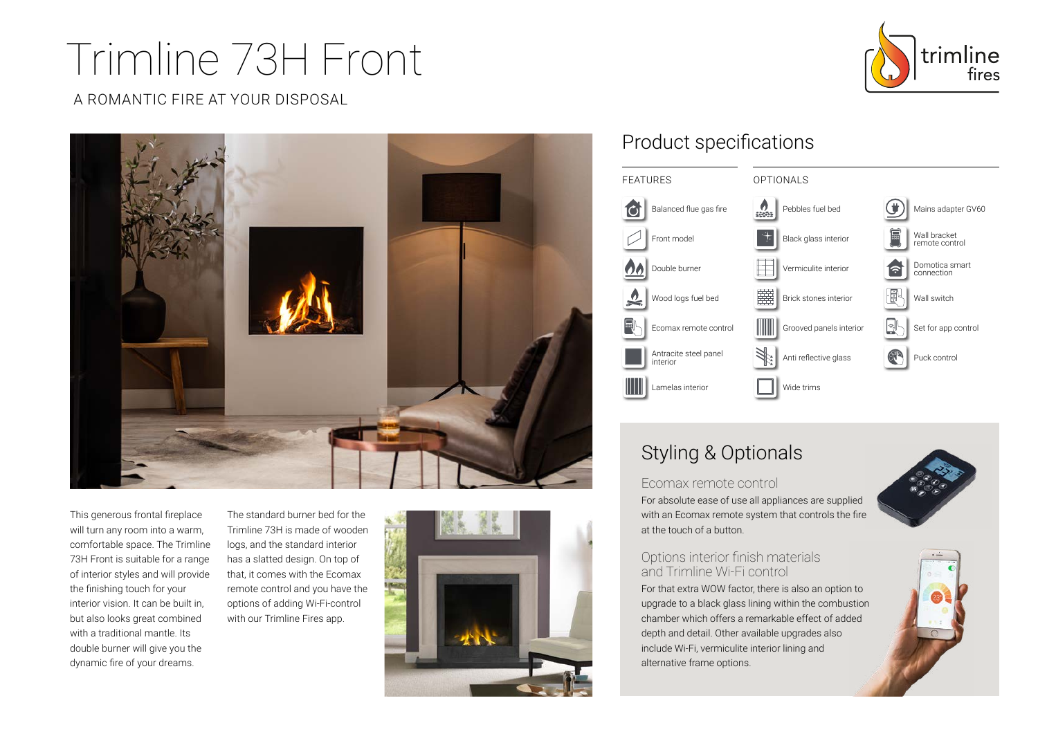# Trimline 73H Front

A ROMANTIC FIRE AT YOUR DISPOSAL



This generous frontal fireplace will turn any room into a warm, comfortable space. The Trimline 73H Front is suitable for a range of interior styles and will provide the finishing touch for your interior vision. It can be built in, but also looks great combined with a traditional mantle. Its double burner will give you the dynamic fire of your dreams.

The standard burner bed for the Trimline 73H is made of wooden logs, and the standard interior has a slatted design. On top of that, it comes with the Ecomax remote control and you have the options of adding Wi-Fi-control with our Trimline Fires app.



## Product specifications



# Styling & Optionals

#### Ecomax remote control

For absolute ease of use all appliances are supplied with an Ecomax remote system that controls the fire at the touch of a button.

## Options interior finish materials and Trimline Wi-Fi control

For that extra WOW factor, there is also an option to upgrade to a black glass lining within the combustion chamber which offers a remarkable effect of added depth and detail. Other available upgrades also include Wi-Fi, vermiculite interior lining and alternative frame options.